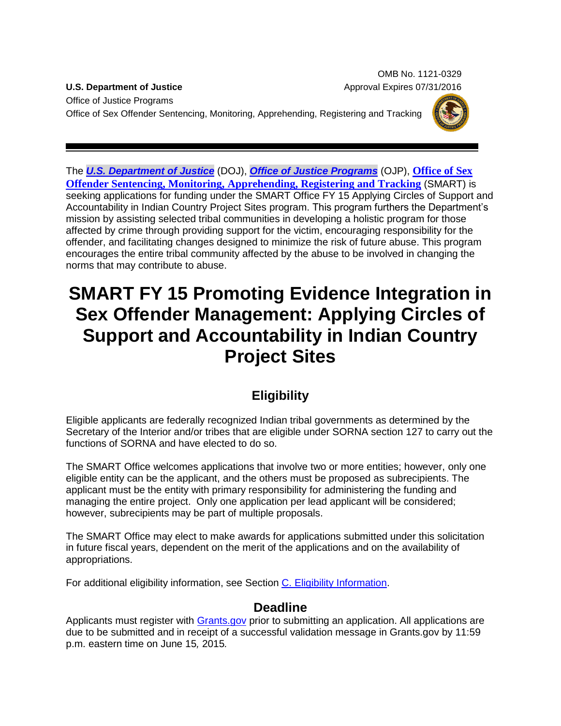OMB No. 1121-0329 **U.S. Department of Justice** Approval Expires 07/31/2016

Office of Justice Programs Office of Sex Offender Sentencing, Monitoring, Apprehending, Registering and Tracking



The *[U.S. Department of Justice](http://www.usdoj.gov/)* (DOJ), *[Office of Justice Programs](http://www.ojp.usdoj.gov/)* (OJP), **[Office of Sex](http://www.smart.gov/)  [Offender Sentencing, Monitoring, Apprehending, Registering and Tracking](http://www.smart.gov/)** (SMART) is seeking applications for funding under the SMART Office FY 15 Applying Circles of Support and Accountability in Indian Country Project Sites program. This program furthers the Department's mission by assisting selected tribal communities in developing a holistic program for those affected by crime through providing support for the victim, encouraging responsibility for the offender, and facilitating changes designed to minimize the risk of future abuse. This program encourages the entire tribal community affected by the abuse to be involved in changing the norms that may contribute to abuse.

# **SMART FY 15 Promoting Evidence Integration in Sex Offender Management: Applying Circles of Support and Accountability in Indian Country Project Sites**

# **Eligibility**

Eligible applicants are federally recognized Indian tribal governments as determined by the Secretary of the Interior and/or tribes that are eligible under SORNA section 127 to carry out the functions of SORNA and have elected to do so.

The SMART Office welcomes applications that involve two or more entities; however, only one eligible entity can be the applicant, and the others must be proposed as subrecipients. The applicant must be the entity with primary responsibility for administering the funding and managing the entire project. Only one application per lead applicant will be considered; however, subrecipients may be part of multiple proposals.

The SMART Office may elect to make awards for applications submitted under this solicitation in future fiscal years, dependent on the merit of the applications and on the availability of appropriations.

For additional eligibility information, see Section [C. Eligibility Information.](#page-8-0)

## **Deadline**

Applicants must register with [Grants.gov](http://www.grants.gov/applicants/apply_for_grants.jsp) prior to submitting an application. All applications are due to be submitted and in receipt of a successful validation message in Grants.gov by 11:59 p.m. eastern time on June 15*,* 2015*.*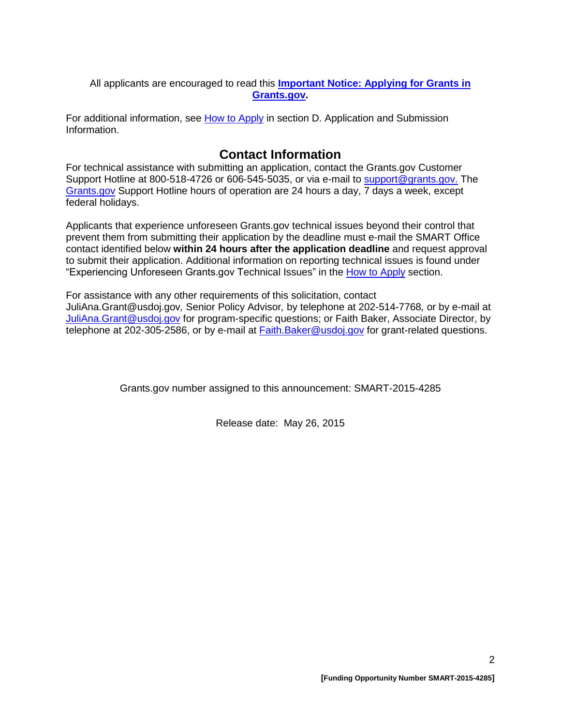All applicants are encouraged to read this **[Important Notice: Applying for Grants in](http://ojp.gov/funding/Apply/Grants-govInfo.htm)  [Grants.gov.](http://ojp.gov/funding/Apply/Grants-govInfo.htm)**

For additional information, see [How to Apply](#page-18-0) in section [D. Application and Submission](#page-9-0)  [Information.](#page-9-0)

## **Contact Information**

For technical assistance with submitting an application, contact the Grants.gov Customer Support Hotline at 800-518-4726 or 606-545-5035, or via e-mail to [support@grants.gov.](mailto:support@grants.gov) The [Grants.gov](http://www.grants.gov/applicants/apply_for_grants.jsp) Support Hotline hours of operation are 24 hours a day, 7 days a week, except federal holidays.

Applicants that experience unforeseen Grants.gov technical issues beyond their control that prevent them from submitting their application by the deadline must e-mail the SMART Office contact identified below **within 24 hours after the application deadline** and request approval to submit their application. Additional information on reporting technical issues is found under "Experiencing Unforeseen Grants.gov Technical Issues" in the [How to Apply](#page-18-0) section.

For assistance with any other requirements of this solicitation, contact JuliAna.Grant@usdoj.gov*,* Senior Policy Advisor*,* by telephone at 202-514-7768*,* or by e-mail at [JuliAna.Grant@usdoj.gov](mailto:JuliAna.Grant@usdoj.gov) for program-specific questions; or Faith Baker, Associate Director, by telephone at 202-305-2586, or by e-mail at [Faith.Baker@usdoj.gov](mailto:Faith.Baker@usdoj.gov) for grant-related questions.

Grants.gov number assigned to this announcement: SMART-2015-4285

Release date: May 26, 2015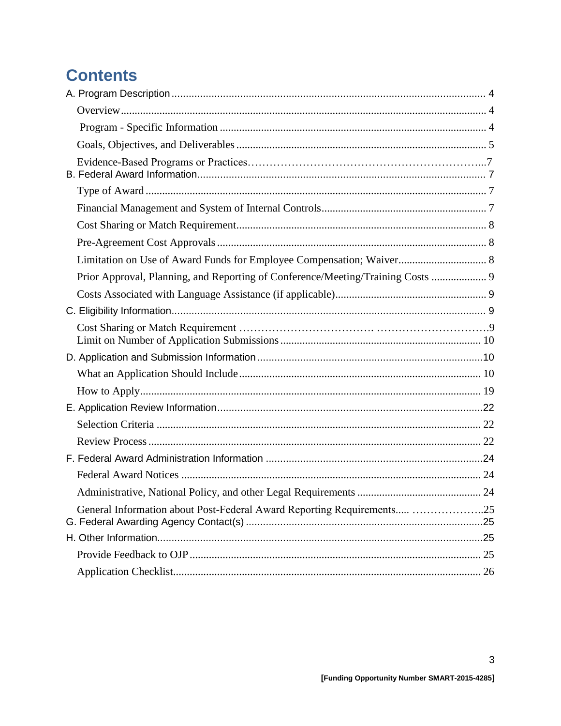# **Contents**

| Limitation on Use of Award Funds for Employee Compensation; Waiver 8            |  |
|---------------------------------------------------------------------------------|--|
| Prior Approval, Planning, and Reporting of Conference/Meeting/Training Costs  9 |  |
|                                                                                 |  |
|                                                                                 |  |
|                                                                                 |  |
|                                                                                 |  |
|                                                                                 |  |
|                                                                                 |  |
|                                                                                 |  |
|                                                                                 |  |
|                                                                                 |  |
|                                                                                 |  |
|                                                                                 |  |
|                                                                                 |  |
| General Information about Post-Federal Award Reporting Requirements 25          |  |
|                                                                                 |  |
|                                                                                 |  |
|                                                                                 |  |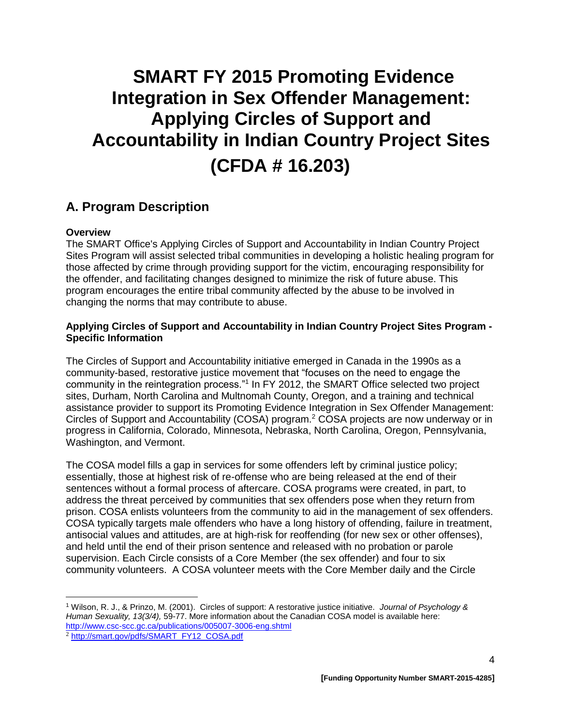# **SMART FY 2015 Promoting Evidence Integration in Sex Offender Management: Applying Circles of Support and Accountability in Indian Country Project Sites (CFDA # 16.203)**

## <span id="page-3-0"></span>**A. Program Description**

#### <span id="page-3-1"></span>**Overview**

 $\overline{a}$ 

The SMART Office's Applying Circles of Support and Accountability in Indian Country Project Sites Program will assist selected tribal communities in developing a holistic healing program for those affected by crime through providing support for the victim, encouraging responsibility for the offender, and facilitating changes designed to minimize the risk of future abuse. This program encourages the entire tribal community affected by the abuse to be involved in changing the norms that may contribute to abuse.

#### <span id="page-3-2"></span>**Applying Circles of Support and Accountability in Indian Country Project Sites Program - Specific Information**

The Circles of Support and Accountability initiative emerged in Canada in the 1990s as a community-based, restorative justice movement that "focuses on the need to engage the community in the reintegration process."<sup>1</sup> In FY 2012, the SMART Office selected two project sites, Durham, North Carolina and Multnomah County, Oregon, and a training and technical assistance provider to support its Promoting Evidence Integration in Sex Offender Management: Circles of Support and Accountability (COSA) program.<sup>2</sup> COSA projects are now underway or in progress in California, Colorado, Minnesota, Nebraska, North Carolina, Oregon, Pennsylvania, Washington, and Vermont.

The COSA model fills a gap in services for some offenders left by criminal justice policy; essentially, those at highest risk of re-offense who are being released at the end of their sentences without a formal process of aftercare. COSA programs were created, in part, to address the threat perceived by communities that sex offenders pose when they return from prison. COSA enlists volunteers from the community to aid in the management of sex offenders. COSA typically targets male offenders who have a long history of offending, failure in treatment, antisocial values and attitudes, are at high-risk for reoffending (for new sex or other offenses), and held until the end of their prison sentence and released with no probation or parole supervision. Each Circle consists of a Core Member (the sex offender) and four to six community volunteers. A COSA volunteer meets with the Core Member daily and the Circle

<sup>1</sup> Wilson, R. J., & Prinzo, M. (2001). Circles of support: A restorative justice initiative. *Journal of Psychology & Human Sexuality, 13(3/4),* 59-77. More information about the Canadian COSA model is available here: <http://www.csc-scc.gc.ca/publications/005007-3006-eng.shtml>

<sup>2</sup> [http://smart.gov/pdfs/SMART\\_FY12\\_COSA.pdf](http://smart.gov/pdfs/SMART_FY12_COSA.pdf)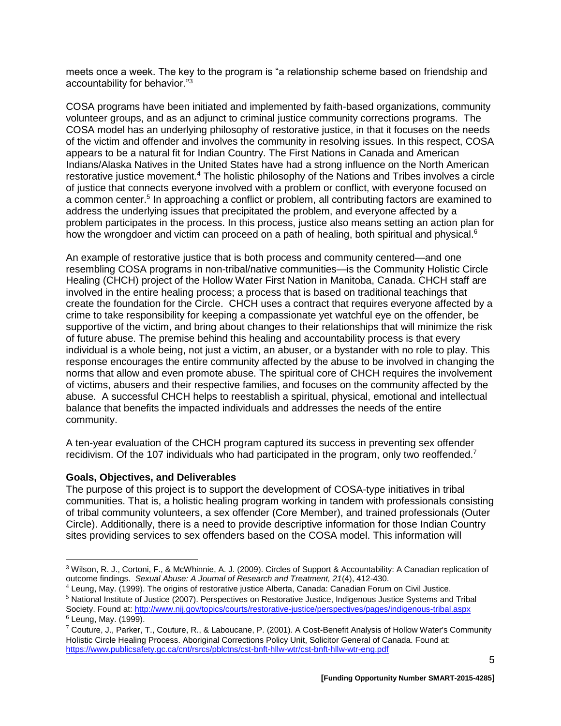meets once a week. The key to the program is "a relationship scheme based on friendship and accountability for behavior."<sup>3</sup>

COSA programs have been initiated and implemented by faith-based organizations, community volunteer groups, and as an adjunct to criminal justice community corrections programs. The COSA model has an underlying philosophy of restorative justice, in that it focuses on the needs of the victim and offender and involves the community in resolving issues. In this respect, COSA appears to be a natural fit for Indian Country. The First Nations in Canada and American Indians/Alaska Natives in the United States have had a strong influence on the North American restorative justice movement.<sup>4</sup> The holistic philosophy of the Nations and Tribes involves a circle of justice that connects everyone involved with a problem or conflict, with everyone focused on a common center.<sup>5</sup> In approaching a conflict or problem, all contributing factors are examined to address the underlying issues that precipitated the problem, and everyone affected by a problem participates in the process. In this process, justice also means setting an action plan for how the wrongdoer and victim can proceed on a path of healing, both spiritual and physical.<sup>6</sup>

An example of restorative justice that is both process and community centered—and one resembling COSA programs in non-tribal/native communities—is the Community Holistic Circle Healing (CHCH) project of the Hollow Water First Nation in Manitoba, Canada. CHCH staff are involved in the entire healing process; a process that is based on traditional teachings that create the foundation for the Circle. CHCH uses a contract that requires everyone affected by a crime to take responsibility for keeping a compassionate yet watchful eye on the offender, be supportive of the victim, and bring about changes to their relationships that will minimize the risk of future abuse. The premise behind this healing and accountability process is that every individual is a whole being, not just a victim, an abuser, or a bystander with no role to play. This response encourages the entire community affected by the abuse to be involved in changing the norms that allow and even promote abuse. The spiritual core of CHCH requires the involvement of victims, abusers and their respective families, and focuses on the community affected by the abuse. A successful CHCH helps to reestablish a spiritual, physical, emotional and intellectual balance that benefits the impacted individuals and addresses the needs of the entire community.

A ten-year evaluation of the CHCH program captured its success in preventing sex offender recidivism. Of the 107 individuals who had participated in the program, only two reoffended.<sup>7</sup>

#### <span id="page-4-0"></span>**Goals, Objectives, and Deliverables**

 $\overline{a}$ 

The purpose of this project is to support the development of COSA-type initiatives in tribal communities. That is, a holistic healing program working in tandem with professionals consisting of tribal community volunteers, a sex offender (Core Member), and trained professionals (Outer Circle). Additionally, there is a need to provide descriptive information for those Indian Country sites providing services to sex offenders based on the COSA model. This information will

<sup>4</sup> Leung, May. (1999). The origins of restorative justice Alberta, Canada: Canadian Forum on Civil Justice.

<sup>5</sup> National Institute of Justice (2007). Perspectives on Restorative Justice, Indigenous Justice Systems and Tribal Society. Found at:<http://www.nij.gov/topics/courts/restorative-justice/perspectives/pages/indigenous-tribal.aspx>  $<sup>6</sup>$  Leung, May. (1999).</sup>

<sup>3</sup> Wilson, R. J., Cortoni, F., & McWhinnie, A. J. (2009). Circles of Support & Accountability: A Canadian replication of outcome findings. *Sexual Abuse: A Journal of Research and Treatment, 21*(4), 412-430.

 $7$  Couture, J., Parker, T., Couture, R., & Laboucane, P. (2001). A Cost-Benefit Analysis of Hollow Water's Community Holistic Circle Healing Process. Aboriginal Corrections Policy Unit, Solicitor General of Canada. Found at: <https://www.publicsafety.gc.ca/cnt/rsrcs/pblctns/cst-bnft-hllw-wtr/cst-bnft-hllw-wtr-eng.pdf>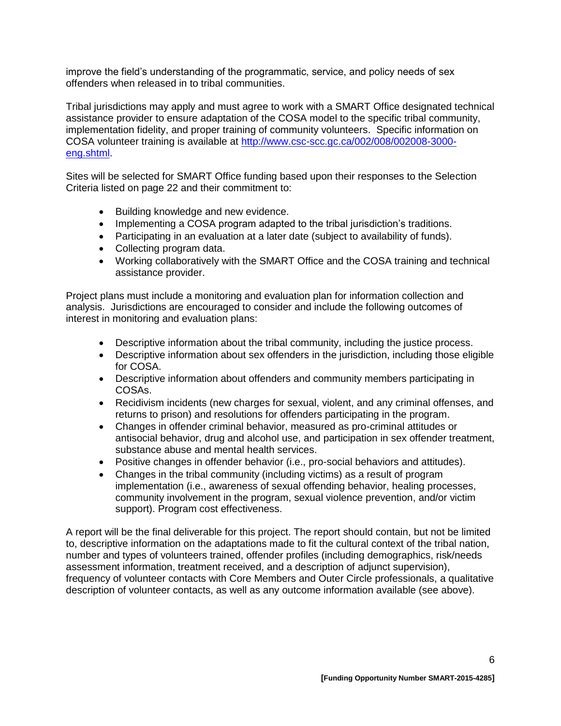improve the field's understanding of the programmatic, service, and policy needs of sex offenders when released in to tribal communities.

Tribal jurisdictions may apply and must agree to work with a SMART Office designated technical assistance provider to ensure adaptation of the COSA model to the specific tribal community, implementation fidelity, and proper training of community volunteers. Specific information on COSA volunteer training is available at [http://www.csc-scc.gc.ca/002/008/002008-3000](http://www.csc-scc.gc.ca/002/008/002008-3000-eng.shtml) [eng.shtml.](http://www.csc-scc.gc.ca/002/008/002008-3000-eng.shtml)

Sites will be selected for SMART Office funding based upon their responses to the Selection Criteria listed on page 22 and their commitment to:

- Building knowledge and new evidence.
- Implementing a COSA program adapted to the tribal jurisdiction's traditions.
- Participating in an evaluation at a later date (subject to availability of funds).
- Collecting program data.
- Working collaboratively with the SMART Office and the COSA training and technical assistance provider.

Project plans must include a monitoring and evaluation plan for information collection and analysis. Jurisdictions are encouraged to consider and include the following outcomes of interest in monitoring and evaluation plans:

- Descriptive information about the tribal community, including the justice process.
- Descriptive information about sex offenders in the jurisdiction, including those eligible for COSA.
- Descriptive information about offenders and community members participating in COSAs.
- Recidivism incidents (new charges for sexual, violent, and any criminal offenses, and returns to prison) and resolutions for offenders participating in the program.
- Changes in offender criminal behavior, measured as pro-criminal attitudes or antisocial behavior, drug and alcohol use, and participation in sex offender treatment, substance abuse and mental health services.
- Positive changes in offender behavior (i.e., pro-social behaviors and attitudes).
- Changes in the tribal community (including victims) as a result of program implementation (i.e., awareness of sexual offending behavior, healing processes, community involvement in the program, sexual violence prevention, and/or victim support). Program cost effectiveness.

A report will be the final deliverable for this project. The report should contain, but not be limited to, descriptive information on the adaptations made to fit the cultural context of the tribal nation, number and types of volunteers trained, offender profiles (including demographics, risk/needs assessment information, treatment received, and a description of adjunct supervision), frequency of volunteer contacts with Core Members and Outer Circle professionals, a qualitative description of volunteer contacts, as well as any outcome information available (see above).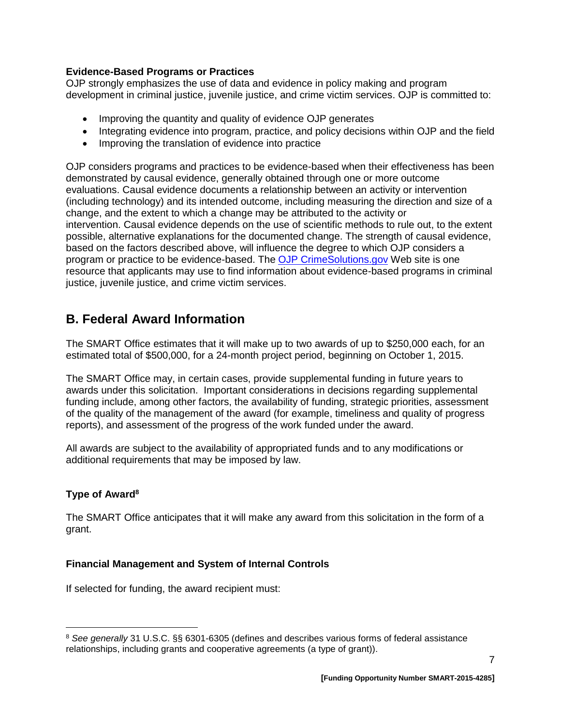#### **Evidence-Based Programs or Practices**

OJP strongly emphasizes the use of data and evidence in policy making and program development in criminal justice, juvenile justice, and crime victim services. OJP is committed to:

- Improving the quantity and quality of evidence OJP generates
- Integrating evidence into program, practice, and policy decisions within OJP and the field
- Improving the translation of evidence into practice

OJP considers programs and practices to be evidence-based when their effectiveness has been demonstrated by causal evidence, generally obtained through one or more outcome evaluations. Causal evidence documents a relationship between an activity or intervention (including technology) and its intended outcome, including measuring the direction and size of a change, and the extent to which a change may be attributed to the activity or intervention. Causal evidence depends on the use of scientific methods to rule out, to the extent possible, alternative explanations for the documented change. The strength of causal evidence, based on the factors described above, will influence the degree to which OJP considers a program or practice to be evidence-based. The [OJP CrimeSolutions.gov](http://www.crimesolutions.gov/) Web site is one resource that applicants may use to find information about evidence-based programs in criminal justice, juvenile justice, and crime victim services.

# <span id="page-6-0"></span>**B. Federal Award Information**

The SMART Office estimates that it will make up to two awards of up to \$250,000 each, for an estimated total of \$500,000, for a 24-month project period, beginning on October 1, 2015.

The SMART Office may, in certain cases, provide supplemental funding in future years to awards under this solicitation. Important considerations in decisions regarding supplemental funding include, among other factors, the availability of funding, strategic priorities, assessment of the quality of the management of the award (for example, timeliness and quality of progress reports), and assessment of the progress of the work funded under the award.

All awards are subject to the availability of appropriated funds and to any modifications or additional requirements that may be imposed by law.

## <span id="page-6-1"></span>**Type of Award<sup>8</sup>**

 $\overline{a}$ 

The SMART Office anticipates that it will make any award from this solicitation in the form of a grant.

## <span id="page-6-2"></span>**Financial Management and System of Internal Controls**

If selected for funding, the award recipient must:

<sup>8</sup> *See generally* 31 U.S.C. §§ 6301-6305 (defines and describes various forms of federal assistance relationships, including grants and cooperative agreements (a type of grant)).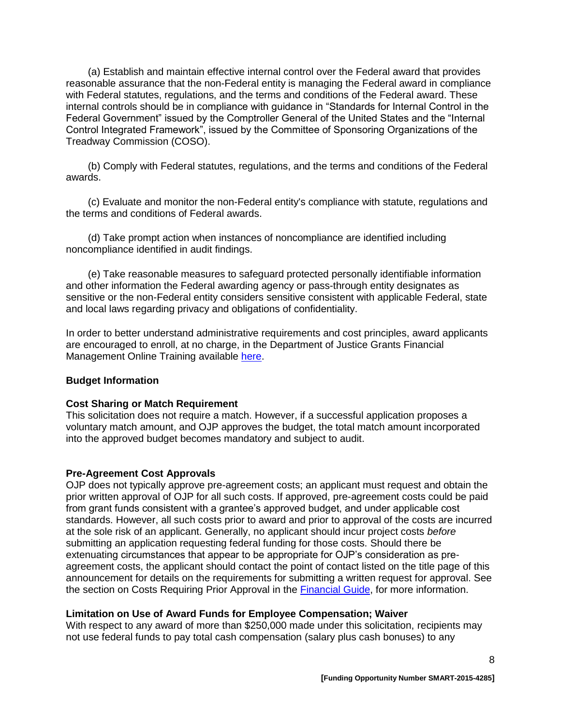(a) Establish and maintain effective internal control over the Federal award that provides reasonable assurance that the non-Federal entity is managing the Federal award in compliance with Federal statutes, regulations, and the terms and conditions of the Federal award. These internal controls should be in compliance with guidance in "Standards for Internal Control in the Federal Government" issued by the Comptroller General of the United States and the "Internal Control Integrated Framework", issued by the Committee of Sponsoring Organizations of the Treadway Commission (COSO).

(b) Comply with Federal statutes, regulations, and the terms and conditions of the Federal awards.

(c) Evaluate and monitor the non-Federal entity's compliance with statute, regulations and the terms and conditions of Federal awards.

(d) Take prompt action when instances of noncompliance are identified including noncompliance identified in audit findings.

(e) Take reasonable measures to safeguard protected personally identifiable information and other information the Federal awarding agency or pass-through entity designates as sensitive or the non-Federal entity considers sensitive consistent with applicable Federal, state and local laws regarding privacy and obligations of confidentiality.

In order to better understand administrative requirements and cost principles, award applicants are encouraged to enroll, at no charge, in the Department of Justice Grants Financial Management Online Training available [here.](http://gfm.webfirst.com/)

#### **Budget Information**

#### <span id="page-7-0"></span>**Cost Sharing or Match Requirement**

This solicitation does not require a match. However, if a successful application proposes a voluntary match amount, and OJP approves the budget, the total match amount incorporated into the approved budget becomes mandatory and subject to audit.

#### <span id="page-7-1"></span>**Pre-Agreement Cost Approvals**

OJP does not typically approve pre-agreement costs; an applicant must request and obtain the prior written approval of OJP for all such costs. If approved, pre-agreement costs could be paid from grant funds consistent with a grantee's approved budget, and under applicable cost standards. However, all such costs prior to award and prior to approval of the costs are incurred at the sole risk of an applicant. Generally, no applicant should incur project costs *before* submitting an application requesting federal funding for those costs. Should there be extenuating circumstances that appear to be appropriate for OJP's consideration as preagreement costs, the applicant should contact the point of contact listed on the title page of this announcement for details on the requirements for submitting a written request for approval. See the section on Costs Requiring Prior Approval in the [Financial Guide,](http://ojp.gov/financialguide/index.htm) for more information.

#### <span id="page-7-2"></span>**Limitation on Use of Award Funds for Employee Compensation; Waiver**

With respect to any award of more than \$250,000 made under this solicitation, recipients may not use federal funds to pay total cash compensation (salary plus cash bonuses) to any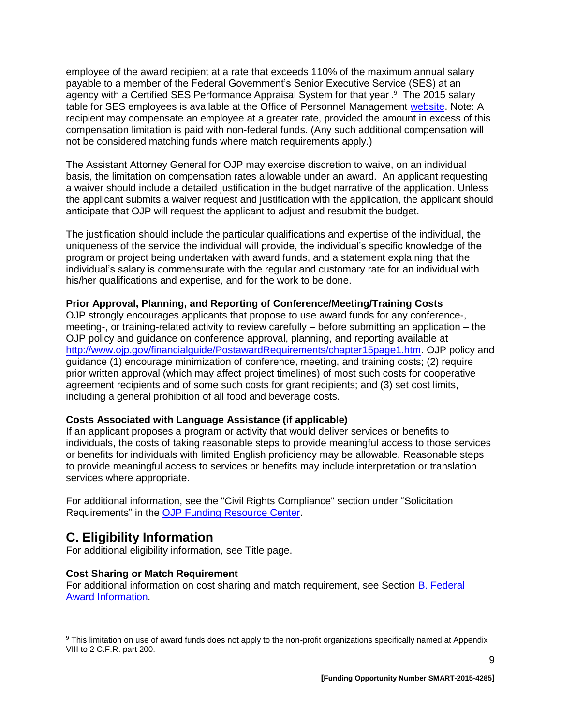employee of the award recipient at a rate that exceeds 110% of the maximum annual salary payable to a member of the Federal Government's Senior Executive Service (SES) at an agency with a Certified SES Performance Appraisal System for that year .<sup>9</sup> The 2015 salary table for SES employees is available at the Office of Personnel Management [website.](http://www.opm.gov/policy-data-oversight/pay-leave/salaries-wages/salary-tables/15Tables/exec/html/ES.aspx) Note: A recipient may compensate an employee at a greater rate, provided the amount in excess of this compensation limitation is paid with non-federal funds. (Any such additional compensation will not be considered matching funds where match requirements apply.)

The Assistant Attorney General for OJP may exercise discretion to waive, on an individual basis, the limitation on compensation rates allowable under an award. An applicant requesting a waiver should include a detailed justification in the budget narrative of the application. Unless the applicant submits a waiver request and justification with the application, the applicant should anticipate that OJP will request the applicant to adjust and resubmit the budget.

The justification should include the particular qualifications and expertise of the individual, the uniqueness of the service the individual will provide, the individual's specific knowledge of the program or project being undertaken with award funds, and a statement explaining that the individual's salary is commensurate with the regular and customary rate for an individual with his/her qualifications and expertise, and for the work to be done.

#### <span id="page-8-1"></span>**Prior Approval, Planning, and Reporting of Conference/Meeting/Training Costs**

OJP strongly encourages applicants that propose to use award funds for any conference-, meeting-, or training-related activity to review carefully – before submitting an application – the OJP policy and guidance on conference approval, planning, and reporting available at [http://www.ojp.gov/financialguide/PostawardRequirements/chapter15page1.htm.](http://www.ojp.gov/financialguide/PostawardRequirements/chapter15page1.htm) OJP policy and guidance (1) encourage minimization of conference, meeting, and training costs; (2) require prior written approval (which may affect project timelines) of most such costs for cooperative agreement recipients and of some such costs for grant recipients; and (3) set cost limits, including a general prohibition of all food and beverage costs.

#### <span id="page-8-2"></span>**Costs Associated with Language Assistance (if applicable)**

If an applicant proposes a program or activity that would deliver services or benefits to individuals, the costs of taking reasonable steps to provide meaningful access to those services or benefits for individuals with limited English proficiency may be allowable. Reasonable steps to provide meaningful access to services or benefits may include interpretation or translation services where appropriate.

For additional information, see the "Civil Rights Compliance" section under "Solicitation Requirements" in the [OJP Funding Resource Center.](http://ojp.gov/funding/index.htm)

## <span id="page-8-0"></span>**C. Eligibility Information**

 $\overline{a}$ 

For additional eligibility information, see Title page.

#### **Cost Sharing or Match Requirement**

For additional information on cost sharing and match requirement, see Section [B. Federal](#page-6-0)  [Award Information.](#page-6-0)

<sup>9</sup> This limitation on use of award funds does not apply to the non-profit organizations specifically named at Appendix VIII to 2 C.F.R. part 200.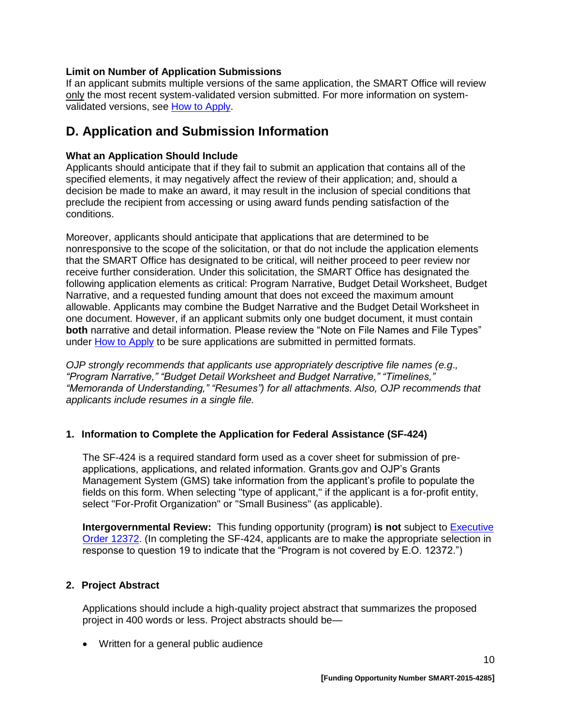#### <span id="page-9-1"></span>**Limit on Number of Application Submissions**

If an applicant submits multiple versions of the same application, the SMART Office will review only the most recent system-validated version submitted. For more information on systemvalidated versions, see [How to Apply.](#page-18-0)

## <span id="page-9-0"></span>**D. Application and Submission Information**

#### <span id="page-9-2"></span>**What an Application Should Include**

Applicants should anticipate that if they fail to submit an application that contains all of the specified elements, it may negatively affect the review of their application; and, should a decision be made to make an award, it may result in the inclusion of special conditions that preclude the recipient from accessing or using award funds pending satisfaction of the conditions.

Moreover, applicants should anticipate that applications that are determined to be nonresponsive to the scope of the solicitation, or that do not include the application elements that the SMART Office has designated to be critical, will neither proceed to peer review nor receive further consideration. Under this solicitation, the SMART Office has designated the following application elements as critical: Program Narrative, Budget Detail Worksheet, Budget Narrative, and a requested funding amount that does not exceed the maximum amount allowable. Applicants may combine the Budget Narrative and the Budget Detail Worksheet in one document. However, if an applicant submits only one budget document, it must contain **both** narrative and detail information. Please review the "Note on File Names and File Types" under [How to Apply](#page-18-0) to be sure applications are submitted in permitted formats.

*OJP strongly recommends that applicants use appropriately descriptive file names (e.g*.*, "Program Narrative," "Budget Detail Worksheet and Budget Narrative," "Timelines," "Memoranda of Understanding," "Resumes") for all attachments. Also, OJP recommends that applicants include resumes in a single file.*

## **1. Information to Complete the Application for Federal Assistance (SF-424)**

The SF-424 is a required standard form used as a cover sheet for submission of preapplications, applications, and related information. Grants.gov and OJP's Grants Management System (GMS) take information from the applicant's profile to populate the fields on this form. When selecting "type of applicant," if the applicant is a for-profit entity, select "For-Profit Organization" or "Small Business" (as applicable).

**Intergovernmental Review:** This funding opportunity (program) **is not** subject to [Executive](http://www.archives.gov/federal-register/codification/executive-order/12372.html)  [Order 12372.](http://www.archives.gov/federal-register/codification/executive-order/12372.html) (In completing the SF-424, applicants are to make the appropriate selection in response to question 19 to indicate that the "Program is not covered by E.O. 12372.")

#### **2. Project Abstract**

Applications should include a high-quality project abstract that summarizes the proposed project in 400 words or less. Project abstracts should be—

Written for a general public audience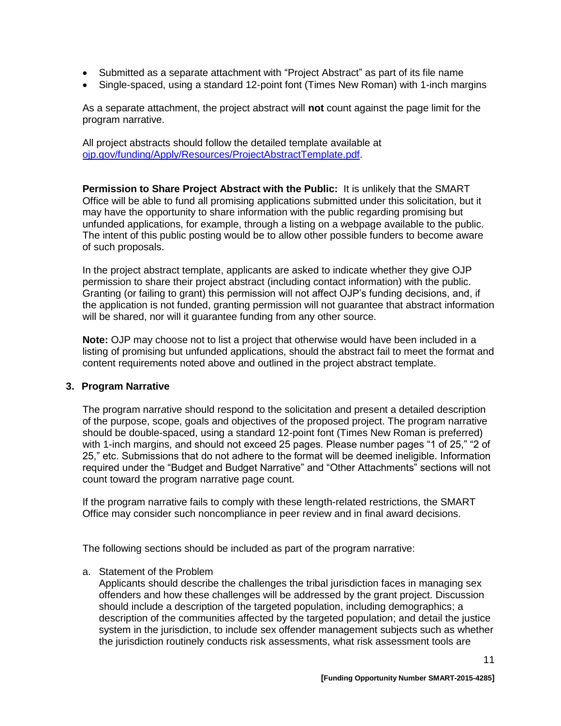- Submitted as a separate attachment with "Project Abstract" as part of its file name
- Single-spaced, using a standard 12-point font (Times New Roman) with 1-inch margins

As a separate attachment, the project abstract will **not** count against the page limit for the program narrative.

All project abstracts should follow the detailed template available at [ojp.gov/funding/Apply/Resources/ProjectAbstractTemplate.pdf.](http://ojp.gov/funding/Apply/Resources/ProjectAbstractTemplate.pdf)

**Permission to Share Project Abstract with the Public:** It is unlikely that the SMART Office will be able to fund all promising applications submitted under this solicitation, but it may have the opportunity to share information with the public regarding promising but unfunded applications, for example, through a listing on a webpage available to the public. The intent of this public posting would be to allow other possible funders to become aware of such proposals.

In the project abstract template, applicants are asked to indicate whether they give OJP permission to share their project abstract (including contact information) with the public. Granting (or failing to grant) this permission will not affect OJP's funding decisions, and, if the application is not funded, granting permission will not guarantee that abstract information will be shared, nor will it guarantee funding from any other source.

**Note:** OJP may choose not to list a project that otherwise would have been included in a listing of promising but unfunded applications, should the abstract fail to meet the format and content requirements noted above and outlined in the project abstract template.

#### **3. Program Narrative**

The program narr*a*tive should respond to the solicitation and present a detailed description of the purpose, scope, goals and objectives of the proposed project. The program narrative should be double-spaced, using a standard 12-point font (Times New Roman is preferred) with 1-inch margins, and should not exceed 25 pages. Please number pages "1 of 25," "2 of 25," etc. Submissions that do not adhere to the format will be deemed ineligible. Information required under the "Budget and Budget Narrative" and "Other Attachments" sections will not count toward the program narrative page count.

If the program narrative fails to comply with these length-related restrictions, the SMART Office may consider such noncompliance in peer review and in final award decisions.

The following sections should be included as part of the program narrative:

a. Statement of the Problem

Applicants should describe the challenges the tribal jurisdiction faces in managing sex offenders and how these challenges will be addressed by the grant project. Discussion should include a description of the targeted population, including demographics; a description of the communities affected by the targeted population; and detail the justice system in the jurisdiction, to include sex offender management subjects such as whether the jurisdiction routinely conducts risk assessments, what risk assessment tools are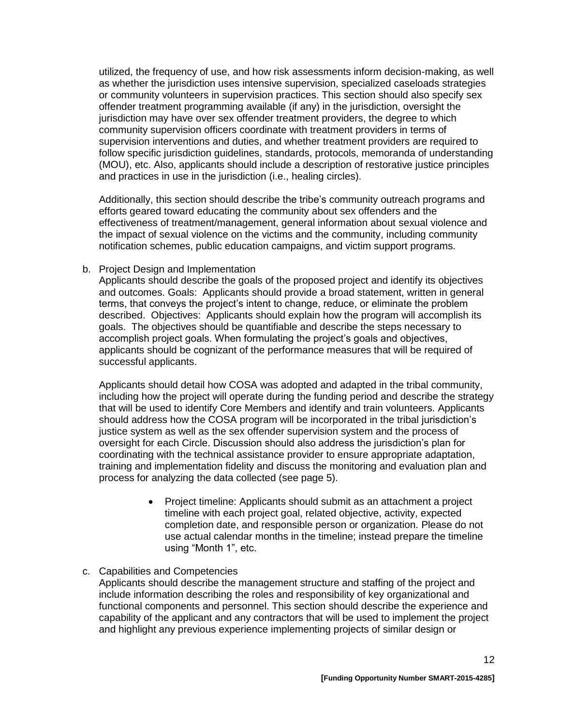utilized, the frequency of use, and how risk assessments inform decision-making, as well as whether the jurisdiction uses intensive supervision, specialized caseloads strategies or community volunteers in supervision practices. This section should also specify sex offender treatment programming available (if any) in the jurisdiction, oversight the jurisdiction may have over sex offender treatment providers, the degree to which community supervision officers coordinate with treatment providers in terms of supervision interventions and duties, and whether treatment providers are required to follow specific jurisdiction guidelines, standards, protocols, memoranda of understanding (MOU), etc. Also, applicants should include a description of restorative justice principles and practices in use in the jurisdiction (i.e., healing circles).

Additionally, this section should describe the tribe's community outreach programs and efforts geared toward educating the community about sex offenders and the effectiveness of treatment/management, general information about sexual violence and the impact of sexual violence on the victims and the community, including community notification schemes, public education campaigns, and victim support programs.

#### b. Project Design and Implementation

Applicants should describe the goals of the proposed project and identify its objectives and outcomes. Goals: Applicants should provide a broad statement, written in general terms, that conveys the project's intent to change, reduce, or eliminate the problem described. Objectives: Applicants should explain how the program will accomplish its goals. The objectives should be quantifiable and describe the steps necessary to accomplish project goals. When formulating the project's goals and objectives, applicants should be cognizant of the performance measures that will be required of successful applicants.

Applicants should detail how COSA was adopted and adapted in the tribal community, including how the project will operate during the funding period and describe the strategy that will be used to identify Core Members and identify and train volunteers. Applicants should address how the COSA program will be incorporated in the tribal jurisdiction's justice system as well as the sex offender supervision system and the process of oversight for each Circle. Discussion should also address the jurisdiction's plan for coordinating with the technical assistance provider to ensure appropriate adaptation, training and implementation fidelity and discuss the monitoring and evaluation plan and process for analyzing the data collected (see page 5).

> • Project timeline: Applicants should submit as an attachment a project timeline with each project goal, related objective, activity, expected completion date, and responsible person or organization. Please do not use actual calendar months in the timeline; instead prepare the timeline using "Month 1", etc.

#### c. Capabilities and Competencies

Applicants should describe the management structure and staffing of the project and include information describing the roles and responsibility of key organizational and functional components and personnel. This section should describe the experience and capability of the applicant and any contractors that will be used to implement the project and highlight any previous experience implementing projects of similar design or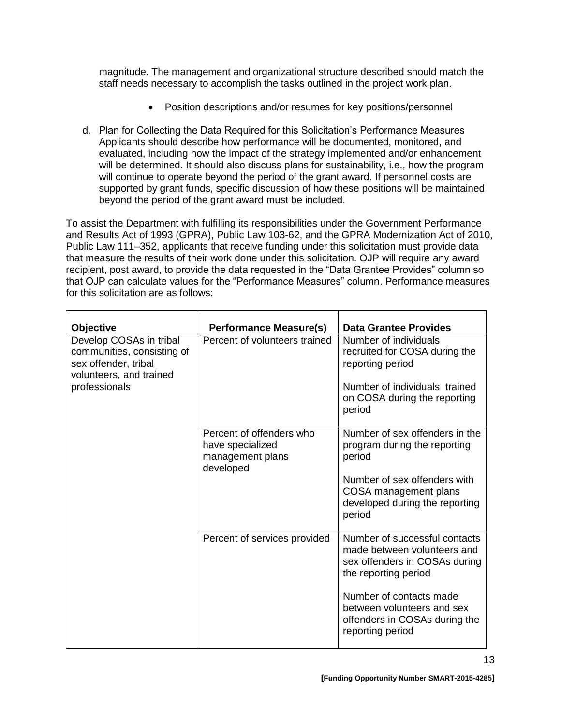magnitude. The management and organizational structure described should match the staff needs necessary to accomplish the tasks outlined in the project work plan.

- Position descriptions and/or resumes for key positions/personnel
- d. Plan for Collecting the Data Required for this Solicitation's Performance Measures Applicants should describe how performance will be documented, monitored, and evaluated, including how the impact of the strategy implemented and/or enhancement will be determined. It should also discuss plans for sustainability, i.e., how the program will continue to operate beyond the period of the grant award. If personnel costs are supported by grant funds, specific discussion of how these positions will be maintained beyond the period of the grant award must be included.

To assist the Department with fulfilling its responsibilities under the Government Performance and Results Act of 1993 (GPRA), Public Law 103-62, and the GPRA Modernization Act of 2010, Public Law 111–352, applicants that receive funding under this solicitation must provide data that measure the results of their work done under this solicitation. OJP will require any award recipient, post award, to provide the data requested in the "Data Grantee Provides" column so that OJP can calculate values for the "Performance Measures" column. Performance measures for this solicitation are as follows:

| <b>Objective</b>                                                                                                          | <b>Performance Measure(s)</b>                                                 | <b>Data Grantee Provides</b>                                                                                                                                                                                                        |
|---------------------------------------------------------------------------------------------------------------------------|-------------------------------------------------------------------------------|-------------------------------------------------------------------------------------------------------------------------------------------------------------------------------------------------------------------------------------|
| Develop COSAs in tribal<br>communities, consisting of<br>sex offender, tribal<br>volunteers, and trained<br>professionals | Percent of volunteers trained                                                 | Number of individuals<br>recruited for COSA during the<br>reporting period<br>Number of individuals trained<br>on COSA during the reporting<br>period                                                                               |
|                                                                                                                           | Percent of offenders who<br>have specialized<br>management plans<br>developed | Number of sex offenders in the<br>program during the reporting<br>period<br>Number of sex offenders with<br>COSA management plans<br>developed during the reporting<br>period                                                       |
|                                                                                                                           | Percent of services provided                                                  | Number of successful contacts<br>made between volunteers and<br>sex offenders in COSAs during<br>the reporting period<br>Number of contacts made<br>between volunteers and sex<br>offenders in COSAs during the<br>reporting period |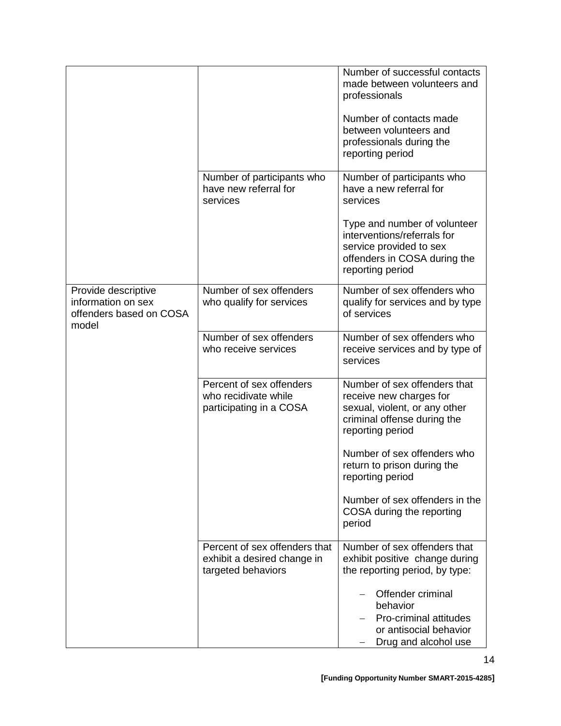|                                                                               |                                                                                    | Number of successful contacts<br>made between volunteers and<br>professionals                                                               |
|-------------------------------------------------------------------------------|------------------------------------------------------------------------------------|---------------------------------------------------------------------------------------------------------------------------------------------|
|                                                                               |                                                                                    | Number of contacts made<br>between volunteers and<br>professionals during the<br>reporting period                                           |
|                                                                               | Number of participants who<br>have new referral for<br>services                    | Number of participants who<br>have a new referral for<br>services                                                                           |
|                                                                               |                                                                                    | Type and number of volunteer<br>interventions/referrals for<br>service provided to sex<br>offenders in COSA during the<br>reporting period  |
| Provide descriptive<br>information on sex<br>offenders based on COSA<br>model | Number of sex offenders<br>who qualify for services                                | Number of sex offenders who<br>qualify for services and by type<br>of services                                                              |
|                                                                               | Number of sex offenders<br>who receive services                                    | Number of sex offenders who<br>receive services and by type of<br>services                                                                  |
|                                                                               | Percent of sex offenders<br>who recidivate while<br>participating in a COSA        | Number of sex offenders that<br>receive new charges for<br>sexual, violent, or any other<br>criminal offense during the<br>reporting period |
|                                                                               |                                                                                    | Number of sex offenders who<br>return to prison during the<br>reporting period                                                              |
|                                                                               |                                                                                    | Number of sex offenders in the<br>COSA during the reporting<br>period                                                                       |
|                                                                               | Percent of sex offenders that<br>exhibit a desired change in<br>targeted behaviors | Number of sex offenders that<br>exhibit positive change during<br>the reporting period, by type:                                            |
|                                                                               |                                                                                    | Offender criminal<br>behavior<br>Pro-criminal attitudes<br>or antisocial behavior<br>Drug and alcohol use                                   |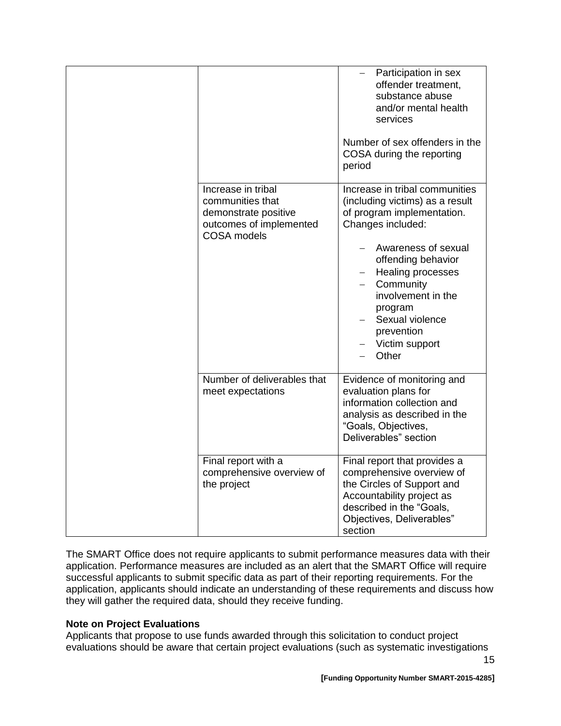|                                                                                                                 | Participation in sex<br>$\overline{\phantom{0}}$<br>offender treatment,<br>substance abuse<br>and/or mental health<br>services<br>Number of sex offenders in the<br>COSA during the reporting<br>period                                                                                                                      |
|-----------------------------------------------------------------------------------------------------------------|------------------------------------------------------------------------------------------------------------------------------------------------------------------------------------------------------------------------------------------------------------------------------------------------------------------------------|
| Increase in tribal<br>communities that<br>demonstrate positive<br>outcomes of implemented<br><b>COSA</b> models | Increase in tribal communities<br>(including victims) as a result<br>of program implementation.<br>Changes included:<br>Awareness of sexual<br>offending behavior<br>Healing processes<br>Community<br>$\overline{\phantom{0}}$<br>involvement in the<br>program<br>Sexual violence<br>prevention<br>Victim support<br>Other |
| Number of deliverables that<br>meet expectations                                                                | Evidence of monitoring and<br>evaluation plans for<br>information collection and<br>analysis as described in the<br>"Goals, Objectives,<br>Deliverables" section                                                                                                                                                             |
| Final report with a<br>comprehensive overview of<br>the project                                                 | Final report that provides a<br>comprehensive overview of<br>the Circles of Support and<br>Accountability project as<br>described in the "Goals,<br>Objectives, Deliverables"<br>section                                                                                                                                     |

The SMART Office does not require applicants to submit performance measures data with their application. Performance measures are included as an alert that the SMART Office will require successful applicants to submit specific data as part of their reporting requirements. For the application, applicants should indicate an understanding of these requirements and discuss how they will gather the required data, should they receive funding.

#### **Note on Project Evaluations**

Applicants that propose to use funds awarded through this solicitation to conduct project evaluations should be aware that certain project evaluations (such as systematic investigations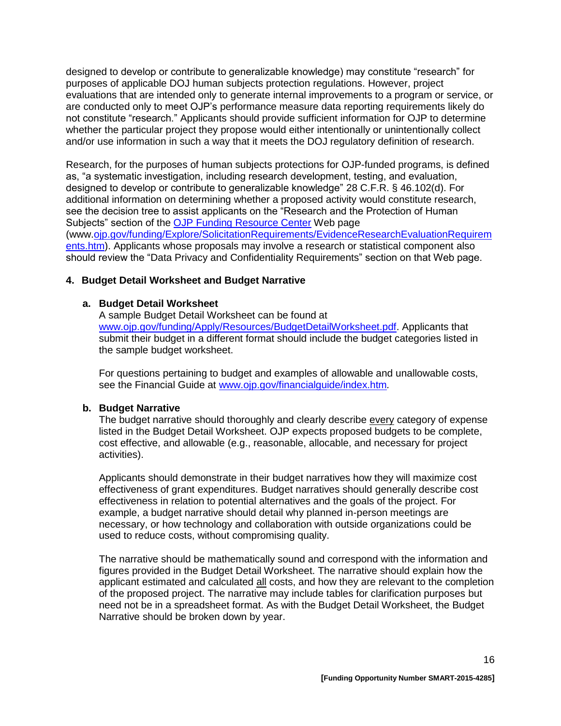designed to develop or contribute to generalizable knowledge) may constitute "research" for purposes of applicable DOJ human subjects protection regulations. However, project evaluations that are intended only to generate internal improvements to a program or service, or are conducted only to meet OJP's performance measure data reporting requirements likely do not constitute "research." Applicants should provide sufficient information for OJP to determine whether the particular project they propose would either intentionally or unintentionally collect and/or use information in such a way that it meets the DOJ regulatory definition of research.

Research, for the purposes of human subjects protections for OJP-funded programs, is defined as, "a systematic investigation, including research development, testing, and evaluation, designed to develop or contribute to generalizable knowledge" 28 C.F.R. § 46.102(d). For additional information on determining whether a proposed activity would constitute research, see the decision tree to assist applicants on the "Research and the Protection of Human Subjects" section of the [OJP Funding Resource Center](http://ojp.gov/funding/index.htm) Web page (www[.ojp.gov/funding/Explore/SolicitationRequirements/EvidenceResearchEvaluationRequirem](http://ojp.gov/funding/Explore/SolicitationRequirements/EvidenceResearchEvaluationRequirements.htm) [ents.htm\)](http://ojp.gov/funding/Explore/SolicitationRequirements/EvidenceResearchEvaluationRequirements.htm). Applicants whose proposals may involve a research or statistical component also should review the "Data Privacy and Confidentiality Requirements" section on that Web page.

#### **4. Budget Detail Worksheet and Budget Narrative**

#### **a. Budget Detail Worksheet**

A sample Budget Detail Worksheet can be found at [www.ojp.gov/funding/Apply/Resources/BudgetDetailWorksheet.pdf.](http://ojp.gov/funding/Apply/Resources/BudgetDetailWorksheet.pdf) Applicants that submit their budget in a different format should include the budget categories listed in the sample budget worksheet.

For questions pertaining to budget and examples of allowable and unallowable costs, see the Financial Guide at [www.ojp.gov/financialguide/index.htm](http://www.ojp.gov/financialguide/index.htm)*.*

#### **b. Budget Narrative**

The budget narrative should thoroughly and clearly describe every category of expense listed in the Budget Detail Worksheet. OJP expects proposed budgets to be complete, cost effective, and allowable (e.g., reasonable, allocable, and necessary for project activities).

Applicants should demonstrate in their budget narratives how they will maximize cost effectiveness of grant expenditures. Budget narratives should generally describe cost effectiveness in relation to potential alternatives and the goals of the project. For example, a budget narrative should detail why planned in-person meetings are necessary, or how technology and collaboration with outside organizations could be used to reduce costs, without compromising quality.

The narrative should be mathematically sound and correspond with the information and figures provided in the Budget Detail Worksheet. The narrative should explain how the applicant estimated and calculated all costs, and how they are relevant to the completion of the proposed project. The narrative may include tables for clarification purposes but need not be in a spreadsheet format. As with the Budget Detail Worksheet, the Budget Narrative should be broken down by year.

16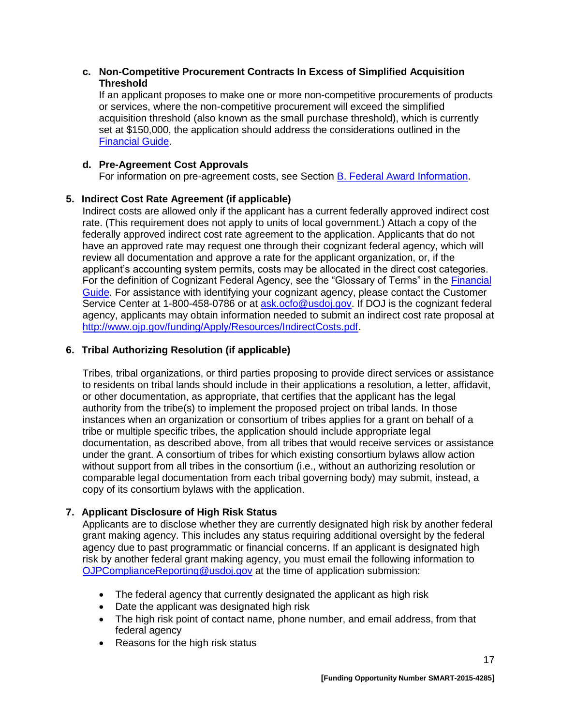#### **c. Non-Competitive Procurement Contracts In Excess of Simplified Acquisition Threshold**

If an applicant proposes to make one or more non-competitive procurements of products or services, where the non-competitive procurement will exceed the simplified acquisition threshold (also known as the small purchase threshold), which is currently set at \$150,000, the application should address the considerations outlined in the [Financial Guide.](http://ojp.gov/financialguide/index.htm)

#### **d. Pre-Agreement Cost Approvals**

For information on pre-agreement costs, see Section [B. Federal Award Information.](#page-6-0)

## **5. Indirect Cost Rate Agreement (if applicable)**

Indirect costs are allowed only if the applicant has a current federally approved indirect cost rate. (This requirement does not apply to units of local government.) Attach a copy of the federally approved indirect cost rate agreement to the application. Applicants that do not have an approved rate may request one through their cognizant federal agency, which will review all documentation and approve a rate for the applicant organization, or, if the applicant's accounting system permits, costs may be allocated in the direct cost categories. For the definition of Cognizant Federal Agency, see the "Glossary of Terms" in the [Financial](http://ojp.gov/financialguide/index.htm)  [Guide.](http://ojp.gov/financialguide/index.htm) For assistance with identifying your cognizant agency, please contact the Customer Service Center at 1-800-458-0786 or at [ask.ocfo@usdoj.gov.](mailto:ask.ocfo@usdoj.gov) If DOJ is the cognizant federal agency, applicants may obtain information needed to submit an indirect cost rate proposal at [http://www.ojp.gov/funding/Apply/Resources/IndirectCosts.pdf.](http://www.ojp.gov/funding/Apply/Resources/IndirectCosts.pdf)

## **6. Tribal Authorizing Resolution (if applicable)**

Tribes, tribal organizations, or third parties proposing to provide direct services or assistance to residents on tribal lands should include in their applications a resolution, a letter, affidavit, or other documentation, as appropriate, that certifies that the applicant has the legal authority from the tribe(s) to implement the proposed project on tribal lands. In those instances when an organization or consortium of tribes applies for a grant on behalf of a tribe or multiple specific tribes, the application should include appropriate legal documentation, as described above, from all tribes that would receive services or assistance under the grant. A consortium of tribes for which existing consortium bylaws allow action without support from all tribes in the consortium (i.e., without an authorizing resolution or comparable legal documentation from each tribal governing body) may submit, instead, a copy of its consortium bylaws with the application.

## **7. Applicant Disclosure of High Risk Status**

Applicants are to disclose whether they are currently designated high risk by another federal grant making agency. This includes any status requiring additional oversight by the federal agency due to past programmatic or financial concerns. If an applicant is designated high risk by another federal grant making agency, you must email the following information to [OJPComplianceReporting@usdoj.gov](mailto:OJPComplianceReporting@usdoj.gov) at the time of application submission:

- The federal agency that currently designated the applicant as high risk
- Date the applicant was designated high risk
- The high risk point of contact name, phone number, and email address, from that federal agency
- Reasons for the high risk status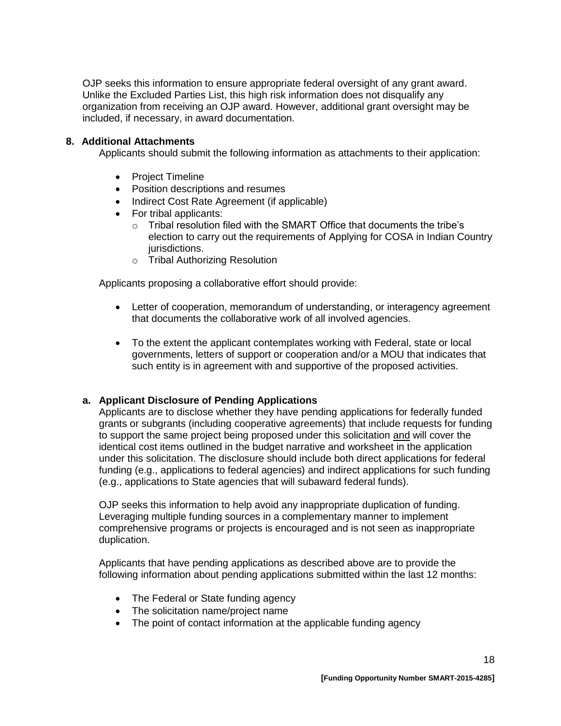OJP seeks this information to ensure appropriate federal oversight of any grant award. Unlike the Excluded Parties List, this high risk information does not disqualify any organization from receiving an OJP award. However, additional grant oversight may be included, if necessary, in award documentation.

#### **8. Additional Attachments**

Applicants should submit the following information as attachments to their application:

- Project Timeline
- Position descriptions and resumes
- Indirect Cost Rate Agreement (if applicable)
- For tribal applicants:
	- $\circ$  Tribal resolution filed with the SMART Office that documents the tribe's election to carry out the requirements of Applying for COSA in Indian Country jurisdictions.
	- o Tribal Authorizing Resolution

Applicants proposing a collaborative effort should provide:

- Letter of cooperation, memorandum of understanding, or interagency agreement that documents the collaborative work of all involved agencies.
- To the extent the applicant contemplates working with Federal, state or local governments, letters of support or cooperation and/or a MOU that indicates that such entity is in agreement with and supportive of the proposed activities.

## **a. Applicant Disclosure of Pending Applications**

Applicants are to disclose whether they have pending applications for federally funded grants or subgrants (including cooperative agreements) that include requests for funding to support the same project being proposed under this solicitation and will cover the identical cost items outlined in the budget narrative and worksheet in the application under this solicitation. The disclosure should include both direct applications for federal funding (e.g., applications to federal agencies) and indirect applications for such funding (e.g., applications to State agencies that will subaward federal funds).

OJP seeks this information to help avoid any inappropriate duplication of funding. Leveraging multiple funding sources in a complementary manner to implement comprehensive programs or projects is encouraged and is not seen as inappropriate duplication.

Applicants that have pending applications as described above are to provide the following information about pending applications submitted within the last 12 months:

- The Federal or State funding agency
- The solicitation name/project name
- The point of contact information at the applicable funding agency

18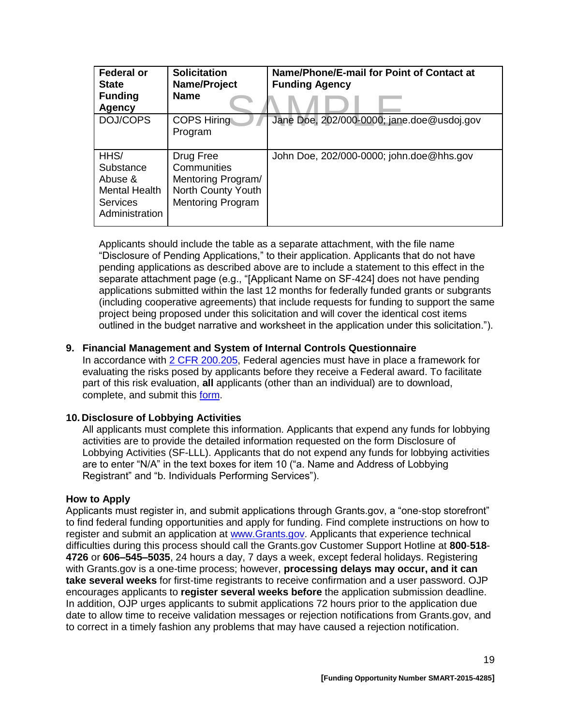| Federal or<br><b>State</b><br><b>Funding</b><br>Agency                             | <b>Solicitation</b><br>Name/Project<br><b>Name</b>                                               | Name/Phone/E-mail for Point of Contact at<br><b>Funding Agency</b> |
|------------------------------------------------------------------------------------|--------------------------------------------------------------------------------------------------|--------------------------------------------------------------------|
| DOJ/COPS                                                                           | <b>COPS Hiring</b><br>Program                                                                    | Jane Doe, 202/000-0000; jane.doe@usdoj.gov                         |
| HHS/<br>Substance<br>Abuse &<br><b>Mental Health</b><br>Services<br>Administration | Drug Free<br>Communities<br>Mentoring Program/<br>North County Youth<br><b>Mentoring Program</b> | John Doe, 202/000-0000; john.doe@hhs.gov                           |

Applicants should include the table as a separate attachment, with the file name "Disclosure of Pending Applications," to their application. Applicants that do not have pending applications as described above are to include a statement to this effect in the separate attachment page (e.g., "[Applicant Name on SF-424] does not have pending applications submitted within the last 12 months for federally funded grants or subgrants (including cooperative agreements) that include requests for funding to support the same project being proposed under this solicitation and will cover the identical cost items outlined in the budget narrative and worksheet in the application under this solicitation.").

#### **9. Financial Management and System of Internal Controls Questionnaire**

In accordance with [2 CFR 200.205,](http://www.ecfr.gov/cgi-bin/text-idx?SID=2ebfb13012953333f32ed4cf1411e33e&node=pt2.1.200&rgn=div5#se2.1.200_1205) Federal agencies must have in place a framework for evaluating the risks posed by applicants before they receive a Federal award. To facilitate part of this risk evaluation, **all** applicants (other than an individual) are to download, complete, and submit this [form.](http://ojp.gov/funding/Apply/Resources/FinancialCapability.pdf)

## **10. Disclosure of Lobbying Activities**

All applicants must complete this information. Applicants that expend any funds for lobbying activities are to provide the detailed information requested on the form Disclosure of Lobbying Activities (SF-LLL). Applicants that do not expend any funds for lobbying activities are to enter "N/A" in the text boxes for item 10 ("a. Name and Address of Lobbying Registrant" and "b. Individuals Performing Services").

#### <span id="page-18-0"></span>**How to Apply**

Applicants must register in, and submit applications through Grants.gov, a "one-stop storefront" to find federal funding opportunities and apply for funding. Find complete instructions on how to register and submit an application at [www.Grants.gov.](http://www.grants.gov/) Applicants that experience technical difficulties during this process should call the Grants.gov Customer Support Hotline at **800**-**518**- **4726** or **606–545–5035**, 24 hours a day, 7 days a week, except federal holidays. Registering with Grants.gov is a one-time process; however, **processing delays may occur, and it can take several weeks** for first-time registrants to receive confirmation and a user password. OJP encourages applicants to **register several weeks before** the application submission deadline. In addition, OJP urges applicants to submit applications 72 hours prior to the application due date to allow time to receive validation messages or rejection notifications from Grants.gov, and to correct in a timely fashion any problems that may have caused a rejection notification.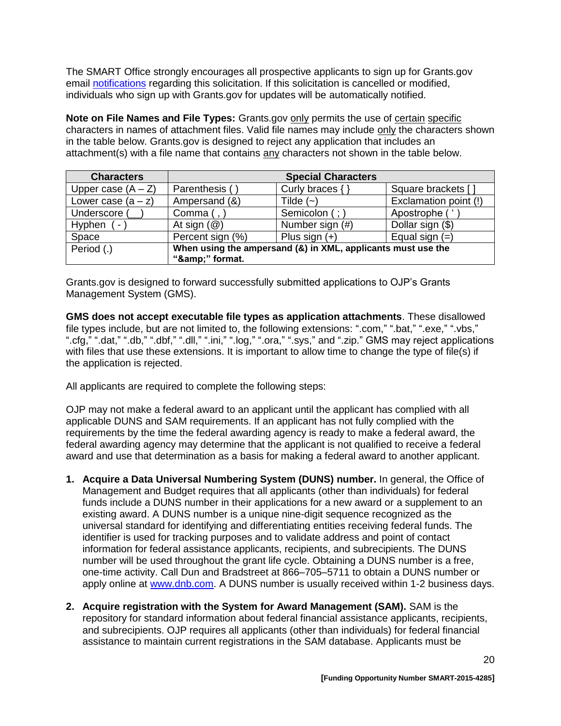The SMART Office strongly encourages all prospective applicants to sign up for Grants.gov email [notifications](http://www.grants.gov/web/grants/manage-subscriptions.html) regarding this solicitation. If this solicitation is cancelled or modified, individuals who sign up with Grants.gov for updates will be automatically notified.

**Note on File Names and File Types:** Grants.gov only permits the use of certain specific characters in names of attachment files. Valid file names may include only the characters shown in the table below. Grants.gov is designed to reject any application that includes an attachment(s) with a file name that contains any characters not shown in the table below.

| <b>Characters</b>                  |                                                                             | <b>Special Characters</b> |                       |
|------------------------------------|-----------------------------------------------------------------------------|---------------------------|-----------------------|
| Upper case $(A - Z)$               | Parenthesis (                                                               | Curly braces {            | Square brackets [     |
| Lower case $(a - z)$               | Ampersand (&)                                                               | Tilde $(-)$               | Exclamation point (!) |
| Underscore (                       | Comma $($ , $)$                                                             | Semicolon (; )            | Apostrophe ('         |
| Hyphen<br>$\overline{\phantom{a}}$ | At sign $(\mathcal{Q})$                                                     | Number sign (#)           | Dollar sign (\$)      |
| Space                              | Percent sign (%)                                                            | Plus sign $(+)$           | Equal sign $(=)$      |
| Period (.)                         | When using the ampersand (&) in XML, applicants must use the<br>"&" format. |                           |                       |

Grants.gov is designed to forward successfully submitted applications to OJP's Grants Management System (GMS).

**GMS does not accept executable file types as application attachments**. These disallowed file types include, but are not limited to, the following extensions: ".com," ".bat," ".exe," ".vbs," ".cfg," ".dat," ".db," ".dbf," ".dll," ".ini," ".log," ".ora," ".sys," and ".zip." GMS may reject applications with files that use these extensions. It is important to allow time to change the type of file(s) if the application is rejected.

All applicants are required to complete the following steps:

OJP may not make a federal award to an applicant until the applicant has complied with all applicable DUNS and SAM requirements. If an applicant has not fully complied with the requirements by the time the federal awarding agency is ready to make a federal award, the federal awarding agency may determine that the applicant is not qualified to receive a federal award and use that determination as a basis for making a federal award to another applicant.

- **1. Acquire a Data Universal Numbering System (DUNS) number.** In general, the Office of Management and Budget requires that all applicants (other than individuals) for federal funds include a DUNS number in their applications for a new award or a supplement to an existing award. A DUNS number is a unique nine-digit sequence recognized as the universal standard for identifying and differentiating entities receiving federal funds. The identifier is used for tracking purposes and to validate address and point of contact information for federal assistance applicants, recipients, and subrecipients. The DUNS number will be used throughout the grant life cycle. Obtaining a DUNS number is a free, one-time activity. Call Dun and Bradstreet at 866–705–5711 to obtain a DUNS number or apply online at [www.dnb.com.](http://www.dnb.com/) A DUNS number is usually received within 1-2 business days.
- **2. Acquire registration with the System for Award Management (SAM).** SAM is the repository for standard information about federal financial assistance applicants, recipients, and subrecipients. OJP requires all applicants (other than individuals) for federal financial assistance to maintain current registrations in the SAM database. Applicants must be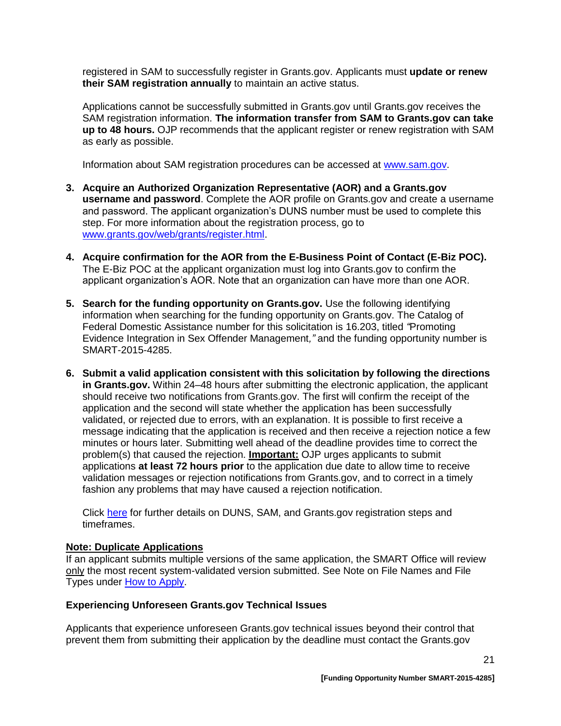registered in SAM to successfully register in Grants.gov. Applicants must **update or renew their SAM registration annually** to maintain an active status.

Applications cannot be successfully submitted in Grants.gov until Grants.gov receives the SAM registration information. **The information transfer from SAM to Grants.gov can take up to 48 hours.** OJP recommends that the applicant register or renew registration with SAM as early as possible.

Information about SAM registration procedures can be accessed at [www.sam.gov.](https://www.sam.gov/portal/public/SAM/?portal:componentId=1f834b82-3fed-4eb3-a1f8-ea1f226a7955&portal:type=action&interactionstate=JBPNS_rO0ABXc0ABBfanNmQnJpZGdlVmlld0lkAAAAAQATL2pzZi9uYXZpZ2F0aW9uLmpzcAAHX19FT0ZfXw**)

- **3. Acquire an Authorized Organization Representative (AOR) and a Grants.gov username and password**. Complete the AOR profile on Grants.gov and create a username and password. The applicant organization's DUNS number must be used to complete this step. For more information about the registration process, go to [www.grants.gov/web/grants/register.html.](http://www.grants.gov/web/grants/register.html)
- **4. Acquire confirmation for the AOR from the E-Business Point of Contact (E-Biz POC).**  The E-Biz POC at the applicant organization must log into Grants.gov to confirm the applicant organization's AOR. Note that an organization can have more than one AOR.
- **5. Search for the funding opportunity on Grants.gov.** Use the following identifying information when searching for the funding opportunity on Grants.gov. The Catalog of Federal Domestic Assistance number for this solicitation is 16.203, titled *"*Promoting Evidence Integration in Sex Offender Management*,"* and the funding opportunity number is SMART-2015-4285.
- **6. Submit a valid application consistent with this solicitation by following the directions in Grants.gov.** Within 24–48 hours after submitting the electronic application, the applicant should receive two notifications from Grants.gov. The first will confirm the receipt of the application and the second will state whether the application has been successfully validated, or rejected due to errors, with an explanation. It is possible to first receive a message indicating that the application is received and then receive a rejection notice a few minutes or hours later. Submitting well ahead of the deadline provides time to correct the problem(s) that caused the rejection. **Important:** OJP urges applicants to submit applications **at least 72 hours prior** to the application due date to allow time to receive validation messages or rejection notifications from Grants.gov, and to correct in a timely fashion any problems that may have caused a rejection notification.

Click [here](http://www.grants.gov/web/grants/applicants/organization-registration.html) for further details on DUNS, SAM, and Grants.gov registration steps and timeframes.

#### **Note: Duplicate Applications**

If an applicant submits multiple versions of the same application, the SMART Office will review only the most recent system-validated version submitted. See Note on File Names and File Types under [How to Apply.](#page-18-0)

#### **Experiencing Unforeseen Grants.gov Technical Issues**

Applicants that experience unforeseen Grants.gov technical issues beyond their control that prevent them from submitting their application by the deadline must contact the Grants.gov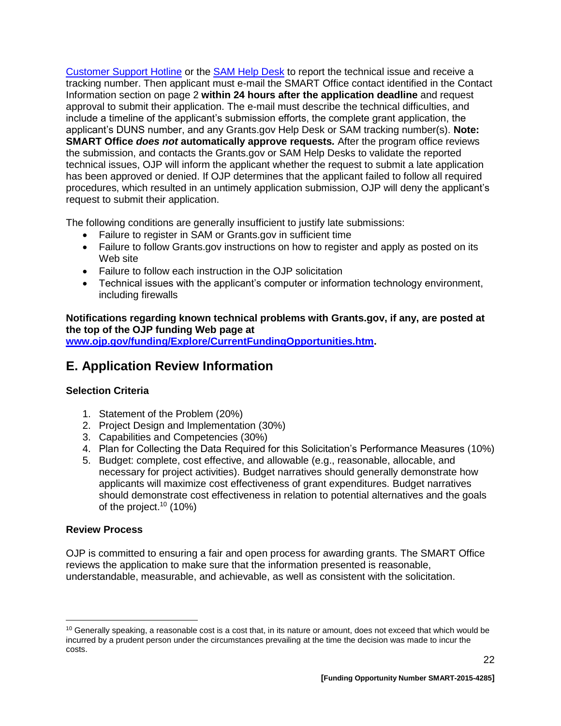[Customer Support Hotline](http://www.grants.gov/web/grants/about/contact-us.html) or the [SAM Help Desk](https://www.fsd.gov/fsd-gov/home.do) to report the technical issue and receive a tracking number. Then applicant must e-mail the SMART Office contact identified in the Contact Information section on page 2 **within 24 hours after the application deadline** and request approval to submit their application. The e-mail must describe the technical difficulties, and include a timeline of the applicant's submission efforts, the complete grant application, the applicant's DUNS number, and any Grants.gov Help Desk or SAM tracking number(s). **Note: SMART Office** *does not* **automatically approve requests***.* After the program office reviews the submission, and contacts the Grants.gov or SAM Help Desks to validate the reported technical issues, OJP will inform the applicant whether the request to submit a late application has been approved or denied. If OJP determines that the applicant failed to follow all required procedures, which resulted in an untimely application submission, OJP will deny the applicant's request to submit their application.

The following conditions are generally insufficient to justify late submissions:

- Failure to register in SAM or Grants.gov in sufficient time
- Failure to follow Grants.gov instructions on how to register and apply as posted on its Web site
- Failure to follow each instruction in the OJP solicitation
- Technical issues with the applicant's computer or information technology environment, including firewalls

**Notifications regarding known technical problems with Grants.gov, if any, are posted at the top of the OJP funding Web page at**

**[www.ojp.gov/funding/Explore/CurrentFundingOpportunities.htm.](http://ojp.gov/funding/Explore/CurrentFundingOpportunities.htm)**

## <span id="page-21-0"></span>**E. Application Review Information**

## <span id="page-21-1"></span>**Selection Criteria**

- 1. Statement of the Problem (20%)
- 2. Project Design and Implementation (30%)
- 3. Capabilities and Competencies (30%)
- 4. Plan for Collecting the Data Required for this Solicitation's Performance Measures (10%)
- 5. Budget: complete, cost effective, and allowable (e.g., reasonable, allocable, and necessary for project activities). Budget narratives should generally demonstrate how applicants will maximize cost effectiveness of grant expenditures. Budget narratives should demonstrate cost effectiveness in relation to potential alternatives and the goals of the project.<sup>10</sup> (10%)

#### <span id="page-21-2"></span>**Review Process**

 $\overline{a}$ 

OJP is committed to ensuring a fair and open process for awarding grants. The SMART Office reviews the application to make sure that the information presented is reasonable, understandable, measurable, and achievable, as well as consistent with the solicitation.

 $10$  Generally speaking, a reasonable cost is a cost that, in its nature or amount, does not exceed that which would be incurred by a prudent person under the circumstances prevailing at the time the decision was made to incur the costs.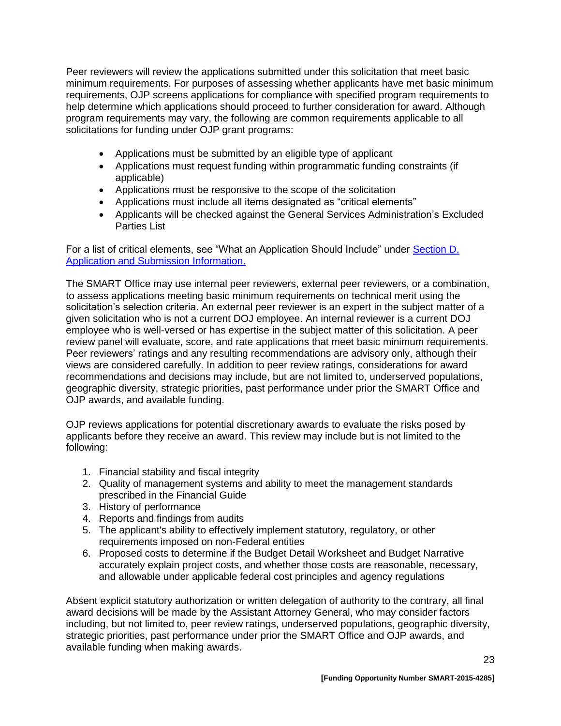Peer reviewers will review the applications submitted under this solicitation that meet basic minimum requirements. For purposes of assessing whether applicants have met basic minimum requirements, OJP screens applications for compliance with specified program requirements to help determine which applications should proceed to further consideration for award. Although program requirements may vary, the following are common requirements applicable to all solicitations for funding under OJP grant programs:

- Applications must be submitted by an eligible type of applicant
- Applications must request funding within programmatic funding constraints (if applicable)
- Applications must be responsive to the scope of the solicitation
- Applications must include all items designated as "critical elements"
- Applicants will be checked against the General Services Administration's Excluded Parties List

For a list of critical elements, see "What an Application Should Include" under [Section D.](#page-9-0)  [Application and Submission Information.](#page-9-0)

The SMART Office may use internal peer reviewers, external peer reviewers, or a combination, to assess applications meeting basic minimum requirements on technical merit using the solicitation's selection criteria. An external peer reviewer is an expert in the subject matter of a given solicitation who is not a current DOJ employee. An internal reviewer is a current DOJ employee who is well-versed or has expertise in the subject matter of this solicitation. A peer review panel will evaluate, score, and rate applications that meet basic minimum requirements. Peer reviewers' ratings and any resulting recommendations are advisory only, although their views are considered carefully. In addition to peer review ratings, considerations for award recommendations and decisions may include, but are not limited to, underserved populations, geographic diversity, strategic priorities, past performance under prior the SMART Office and OJP awards, and available funding.

OJP reviews applications for potential discretionary awards to evaluate the risks posed by applicants before they receive an award. This review may include but is not limited to the following:

- 1. Financial stability and fiscal integrity
- 2. Quality of management systems and ability to meet the management standards prescribed in the Financial Guide
- 3. History of performance
- 4. Reports and findings from audits
- 5. The applicant's ability to effectively implement statutory, regulatory, or other requirements imposed on non-Federal entities
- 6. Proposed costs to determine if the Budget Detail Worksheet and Budget Narrative accurately explain project costs, and whether those costs are reasonable, necessary, and allowable under applicable federal cost principles and agency regulations

Absent explicit statutory authorization or written delegation of authority to the contrary, all final award decisions will be made by the Assistant Attorney General, who may consider factors including, but not limited to, peer review ratings, underserved populations, geographic diversity, strategic priorities, past performance under prior the SMART Office and OJP awards, and available funding when making awards.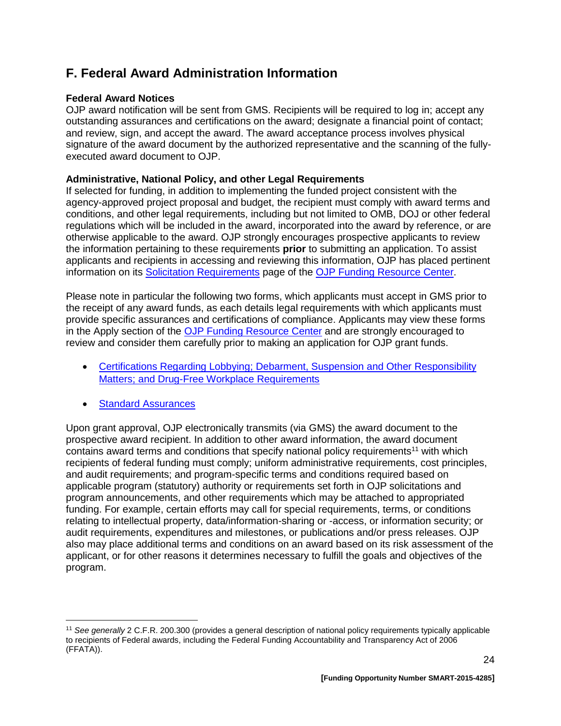# <span id="page-23-0"></span>**F. Federal Award Administration Information**

#### <span id="page-23-1"></span>**Federal Award Notices**

OJP award notification will be sent from GMS. Recipients will be required to log in; accept any outstanding assurances and certifications on the award; designate a financial point of contact; and review, sign, and accept the award. The award acceptance process involves physical signature of the award document by the authorized representative and the scanning of the fullyexecuted award document to OJP.

#### <span id="page-23-2"></span>**Administrative, National Policy, and other Legal Requirements**

If selected for funding, in addition to implementing the funded project consistent with the agency-approved project proposal and budget, the recipient must comply with award terms and conditions, and other legal requirements, including but not limited to OMB, DOJ or other federal regulations which will be included in the award, incorporated into the award by reference, or are otherwise applicable to the award. OJP strongly encourages prospective applicants to review the information pertaining to these requirements **prior** to submitting an application. To assist applicants and recipients in accessing and reviewing this information, OJP has placed pertinent information on its [Solicitation Requirements](http://ojp.gov/funding/Explore/SolicitationRequirements/index.htm) page of the OJP [Funding Resource Center.](http://ojp.gov/funding/index.htm)

Please note in particular the following two forms, which applicants must accept in GMS prior to the receipt of any award funds, as each details legal requirements with which applicants must provide specific assurances and certifications of compliance. Applicants may view these forms in the Apply section of the [OJP Funding Resource Center](http://ojp.gov/funding/index.htm) and are strongly encouraged to review and consider them carefully prior to making an application for OJP grant funds.

- [Certifications Regarding Lobbying; Debarment, Suspension and Other Responsibility](http://ojp.gov/funding/Apply/Forms.htm)  [Matters; and Drug-Free Workplace Requirements](http://ojp.gov/funding/Apply/Forms.htm)
- **[Standard Assurances](http://ojp.gov/funding/Apply/Forms.htm)**

Upon grant approval, OJP electronically transmits (via GMS) the award document to the prospective award recipient. In addition to other award information, the award document contains award terms and conditions that specify national policy requirements<sup>11</sup> with which recipients of federal funding must comply; uniform administrative requirements, cost principles, and audit requirements; and program-specific terms and conditions required based on applicable program (statutory) authority or requirements set forth in OJP solicitations and program announcements, and other requirements which may be attached to appropriated funding. For example, certain efforts may call for special requirements, terms, or conditions relating to intellectual property, data/information-sharing or -access, or information security; or audit requirements, expenditures and milestones, or publications and/or press releases. OJP also may place additional terms and conditions on an award based on its risk assessment of the applicant, or for other reasons it determines necessary to fulfill the goals and objectives of the program.

 $\overline{a}$ <sup>11</sup> *See generally* 2 C.F.R. 200.300 (provides a general description of national policy requirements typically applicable to recipients of Federal awards, including the Federal Funding Accountability and Transparency Act of 2006 (FFATA)).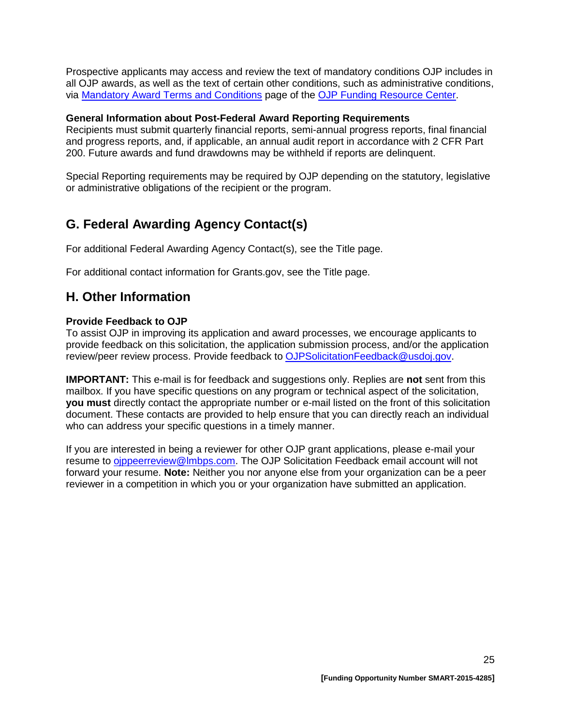Prospective applicants may access and review the text of mandatory conditions OJP includes in all OJP awards, as well as the text of certain other conditions, such as administrative conditions, via [Mandatory Award Terms and Conditions](http://ojp.gov/funding/Explore/SolicitationRequirements/MandatoryTermsConditions.htm) page of the OJP [Funding Resource Center.](http://ojp.gov/funding/index.htm)

#### **General Information about Post-Federal Award Reporting Requirements**

Recipients must submit quarterly financial reports, semi-annual progress reports, final financial and progress reports, and, if applicable, an annual audit report in accordance with 2 CFR Part 200. Future awards and fund drawdowns may be withheld if reports are delinquent.

Special Reporting requirements may be required by OJP depending on the statutory, legislative or administrative obligations of the recipient or the program.

# <span id="page-24-0"></span>**G. Federal Awarding Agency Contact(s)**

For additional Federal Awarding Agency Contact(s), see the Title page.

For additional contact information for Grants.gov, see the Title page.

## <span id="page-24-1"></span>**H. Other Information**

#### <span id="page-24-2"></span>**Provide Feedback to OJP**

To assist OJP in improving its application and award processes, we encourage applicants to provide feedback on this solicitation, the application submission process, and/or the application review/peer review process. Provide feedback to [OJPSolicitationFeedback@usdoj.gov.](mailto:OJPSolicitationFeedback@usdoj.gov)

**IMPORTANT:** This e-mail is for feedback and suggestions only. Replies are **not** sent from this mailbox. If you have specific questions on any program or technical aspect of the solicitation, **you must** directly contact the appropriate number or e-mail listed on the front of this solicitation document. These contacts are provided to help ensure that you can directly reach an individual who can address your specific questions in a timely manner.

If you are interested in being a reviewer for other OJP grant applications, please e-mail your resume to [ojppeerreview@lmbps.com.](mailto:ojppeerreview@lmbps.com) The OJP Solicitation Feedback email account will not forward your resume. **Note:** Neither you nor anyone else from your organization can be a peer reviewer in a competition in which you or your organization have submitted an application.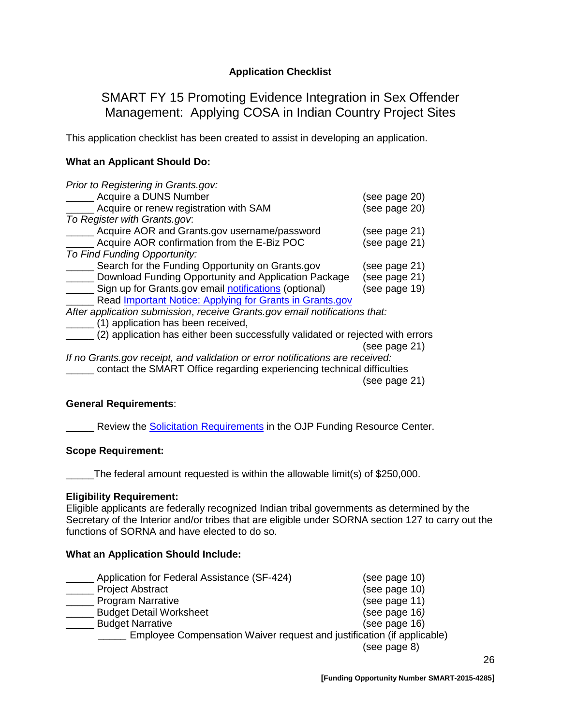## **Application Checklist**

## <span id="page-25-0"></span>SMART FY 15 Promoting Evidence Integration in Sex Offender Management: Applying COSA in Indian Country Project Sites

This application checklist has been created to assist in developing an application.

#### **What an Applicant Should Do:**

| Prior to Registering in Grants.gov:                                            |               |
|--------------------------------------------------------------------------------|---------------|
| Acquire a DUNS Number                                                          | (see page 20) |
| Acquire or renew registration with SAM                                         | (see page 20) |
| To Register with Grants.gov.                                                   |               |
| Acquire AOR and Grants.gov username/password                                   | (see page 21) |
| Acquire AOR confirmation from the E-Biz POC                                    | (see page 21) |
| To Find Funding Opportunity:                                                   |               |
| Search for the Funding Opportunity on Grants.gov                               | (see page 21) |
| Download Funding Opportunity and Application Package                           | (see page 21) |
| Sign up for Grants.gov email notifications (optional)                          | (see page 19) |
| Read Important Notice: Applying for Grants in Grants.gov                       |               |
| After application submission, receive Grants.gov email notifications that:     |               |
| (1) application has been received,                                             |               |
| (2) application has either been successfully validated or rejected with errors |               |
|                                                                                | (see page 21) |
| If no Grants gov receipt, and validation or error notifications are received:  |               |
| contact the SMART Office regarding experiencing technical difficulties         |               |

(see page 21)

#### **General Requirements**:

**EXECTE:** Review the **Solicitation [Requirements](http://ojp.gov/funding/Explore/SolicitationRequirements/index.htm)** in the OJP Funding Resource Center.

#### **Scope Requirement:**

\_\_\_\_\_The federal amount requested is within the allowable limit(s) of \$250,000.

#### **Eligibility Requirement:**

Eligible applicants are federally recognized Indian tribal governments as determined by the Secretary of the Interior and/or tribes that are eligible under SORNA section 127 to carry out the functions of SORNA and have elected to do so.

#### **What an Application Should Include:**

| Application for Federal Assistance (SF-424)                            | (see page 10) |
|------------------------------------------------------------------------|---------------|
| <b>Project Abstract</b>                                                | (see page 10) |
| <b>Program Narrative</b>                                               | (see page 11) |
| <b>Budget Detail Worksheet</b>                                         | (see page 16) |
| <b>Budget Narrative</b>                                                | (see page 16) |
| Employee Compensation Waiver request and justification (if applicable) |               |
|                                                                        | (see page 8)  |